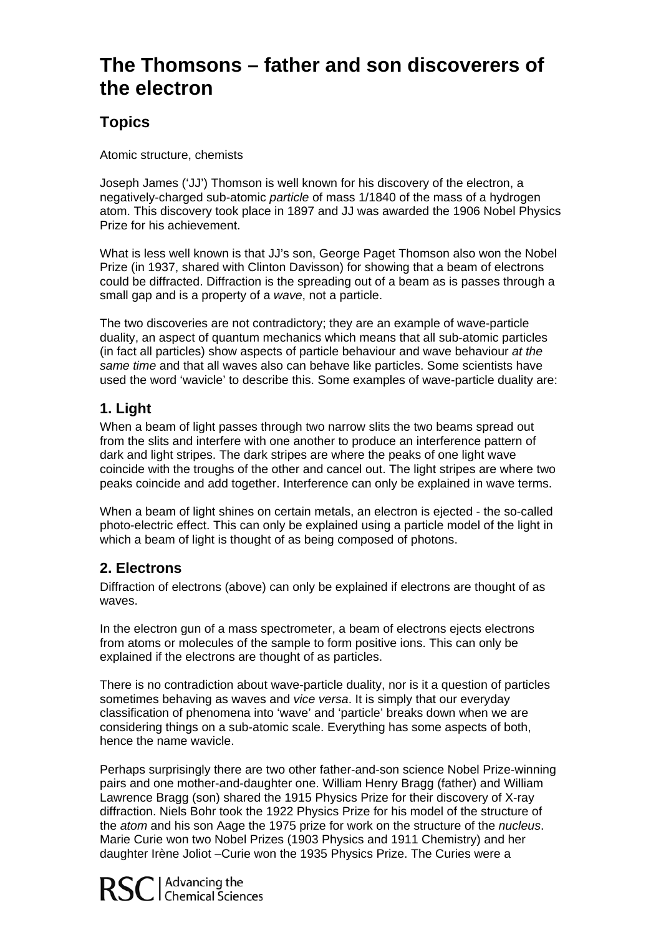## **s – father and son discoverers of The Thomson the electron**

## **Topics**

Atomic structure, chemists

atom. This discovery took place in 1897 and JJ was awarded the 1906 Nobel Physics Joseph James ('JJ') Thomson is well known for his discovery of the electron, a negatively-charged sub-atomic *particle* of mass 1/1840 of the mass of a hydrogen Prize for his achievement.

could be diffracted. Diffraction is the spreading out of a beam as is passes through a What is less well known is that JJ's son, George Paget Thomson also won the Nobel Prize (in 1937, shared with Clinton Davisson) for showing that a beam of electrons small gap and is a property of a *wave*, not a particle.

used the word 'wavicle' to describe this. Some examples of wave-particle duality are: The two discoveries are not contradictory; they are an example of wave-particle duality, an aspect of quantum mechanics which means that all sub-atomic particles (in fact all particles) show aspects of particle behaviour and wave behaviour *at the same time* and that all waves also can behave like particles. Some scientists have

## **1. Light**

When a beam of light passes through two narrow slits the two beams spread out from the slits and interfere with one another to produce an interference pattern of dark and light stripes. The dark stripes are where the peaks of one light wave coincide with the troughs of the other and cancel out. The light stripes are where two peaks coincide and add together. Interference can only be explained in wave terms.

photo-electric effect. This can only be explained using a particle model of the light in which a beam of light is thought of as being composed of photons. When a beam of light shines on certain metals, an electron is ejected - the so-called

## **2. Electrons**

Diffraction of electrons (above) can only be explained if electrons are thought of as waves.

In the electron gun of a mass spectrometer, a beam of electrons ejects electrons from atoms or molecules of the sample to form positive ions. This can only be explained if the electrons are thought of as particles.

There is no contradiction about wave-particle duality, nor is it a question of particles considering things on a sub-atomic scale. Everything has some aspects of both, sometimes behaving as waves and *vice versa*. It is simply that our everyday classification of phenomena into 'wave' and 'particle' breaks down when we are hence the name wavicle.

Perhaps surprisingly there are two other father-and-son science Nobel Prize-winning *s*. the *atom* and his son Aage the 1975 prize for work on the structure of the *nucleu* pairs and one mother-and-daughter one. William Henry Bragg (father) and William Lawrence Bragg (son) shared the 1915 Physics Prize for their discovery of X-ray diffraction. Niels Bohr took the 1922 Physics Prize for his model of the structure of Marie Curie won two Nobel Prizes (1903 Physics and 1911 Chemistry) and her daughter Irène Joliot –Curie won the 1935 Physics Prize. The Curies were a